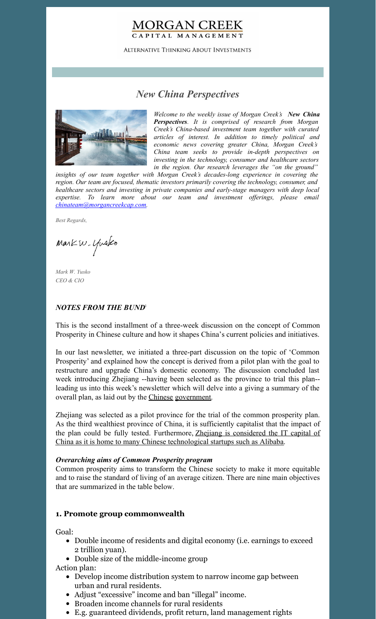### **MORGAN CREEK** CAPITAL MANAGEMENT

**ALTERNATIVE THINKING ABOUT INVESTMENTS** 

# *New China Perspectives*



*Welcome to the weekly issue of Morgan Creek's New China Perspectives. It is comprised of research from Morgan Creek's China-based investment team together with curated articles of interest. In addition to timely political and economic news covering greater China, Morgan Creek's China team seeks to provide in-depth perspectives on investing in the technology, consumer and healthcare sectors in the region. Our research leverages the "on the ground"*

*insights of our team together with Morgan Creek's decades-long experience in covering the region. Our team are focused, thematic investors primarily covering the technology, consumer, and healthcare sectors and investing in private companies and early-stage managers with deep local expertise. To learn more about our team and investment of erings, please email [chinateam@morgancreekcap.com](mailto:chinateam@morgancreekcap.com).*

*Best Regards,*

Markw. Yusko

*Mark W. Yusko CEO & CIO*

#### *NOTES FROM THE BUND* 1

This is the second installment of a three-week discussion on the concept of Common Prosperity in Chinese culture and how it shapes China's current policies and initiatives.

In our last newsletter, we initiated a three-part discussion on the topic of 'Common Prosperity' and explained how the concept is derived from a pilot plan with the goal to restructure and upgrade China's domestic economy. The discussion concluded last week introducing Zhejiang --having been selected as the province to trial this plan- leading us into this week's newsletter which will delve into a giving a summary of the overall plan, as laid out by the [Chinese](http://www.hangzhou.gov.cn/art/2021/7/29/art_1345197_59039566.html) [government](http://www.zj.xinhuanet.com/2021-07/30/c_1127711060.htm).

Zhejiang was selected as a pilot province for the trial of the common prosperity plan. As the third wealthiest province of China, it is sufficiently capitalist that the impact of the plan could be fully tested. Furthermore, Zhejiang is considered the IT capital of China as it is home to many Chinese [technological](https://www.bloomberg.com/news/articles/2021-08-31/xi-tests-common-prosperity-policies-in-alibaba-s-home-province) startups such as Alibaba.

#### *Overarching aims of Common Prosperity program*

Common prosperity aims to transform the Chinese society to make it more equitable and to raise the standard of living of an average citizen. There are nine main objectives that are summarized in the table below.

#### **1. Promote group commonwealth**

Goal:

- Double income of residents and digital economy (i.e. earnings to exceed 2 trillion yuan).
- Double size of the middle-income group

Action plan:

- Develop income distribution system to narrow income gap between urban and rural residents.
- Adjust "excessive" income and ban "illegal" income.
- Broaden income channels for rural residents
- E.g. guaranteed dividends, profit return, land management rights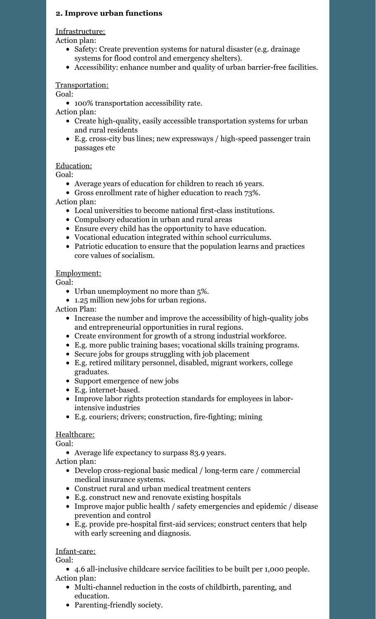### **2. Improve urban functions**

Infrastructure:

Action plan:

- Safety: Create prevention systems for natural disaster (e.g. drainage) systems for flood control and emergency shelters).
- Accessibility: enhance number and quality of urban barrier-free facilities.

### Transportation:

Goal:

100% transportation accessibility rate.

Action plan:

- Create high-quality, easily accessible transportation systems for urban and rural residents
- E.g. cross-city bus lines; new expressways / high-speed passenger train passages etc

### Education:

Goal:

- Average years of education for children to reach 16 years.
- Gross enrollment rate of higher education to reach 73%.

Action plan:

- Local universities to become national first-class institutions.
- Compulsory education in urban and rural areas
- Ensure every child has the opportunity to have education.
- Vocational education integrated within school curriculums.
- Patriotic education to ensure that the population learns and practices core values of socialism.

#### Employment:

Goal:

- Urban unemployment no more than 5%.
- 1.25 million new jobs for urban regions.

Action Plan:

- Increase the number and improve the accessibility of high-quality jobs and entrepreneurial opportunities in rural regions.
- Create environment for growth of a strong industrial workforce.
- E.g. more public training bases; vocational skills training programs.
- Secure jobs for groups struggling with job placement
- E.g. retired military personnel, disabled, migrant workers, college graduates.
- Support emergence of new jobs
- E.g. internet-based.
- Improve labor rights protection standards for employees in laborintensive industries
- E.g. couriers; drivers; construction, fire-fighting; mining

### Healthcare:

Goal:

Average life expectancy to surpass 83.9 years.

Action plan:

- Develop cross-regional basic medical / long-term care / commercial medical insurance systems.
- Construct rural and urban medical treatment centers
- E.g. construct new and renovate existing hospitals
- Improve major public health / safety emergencies and epidemic / disease prevention and control
- E.g. provide pre-hospital first-aid services; construct centers that help with early screening and diagnosis.

#### Infant-care:

Goal:

- 4.6 all-inclusive childcare service facilities to be built per 1,000 people. Action plan:
	- Multi-channel reduction in the costs of childbirth, parenting, and education.
	- Parenting-friendly society.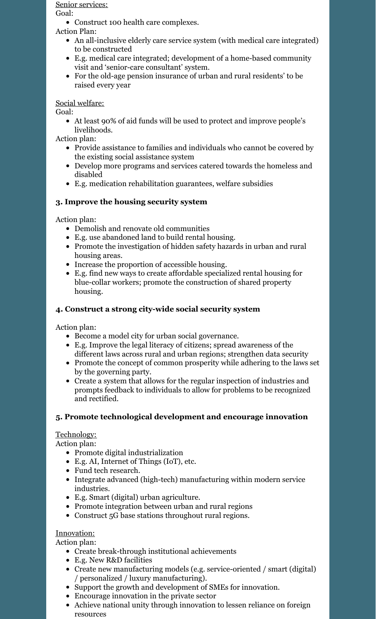#### Senior services:

Goal:

Construct 100 health care complexes.

Action Plan:

- An all-inclusive elderly care service system (with medical care integrated) to be constructed
- E.g. medical care integrated; development of a home-based community visit and 'senior-care consultant' system.
- For the old-age pension insurance of urban and rural residents' to be raised every year

### Social welfare:

Goal:

At least 90% of aid funds will be used to protect and improve people's livelihoods.

Action plan:

- Provide assistance to families and individuals who cannot be covered by the existing social assistance system
- Develop more programs and services catered towards the homeless and disabled
- E.g. medication rehabilitation guarantees, welfare subsidies

# **3. Improve the housing security system**

Action plan:

- Demolish and renovate old communities
- E.g. use abandoned land to build rental housing.
- Promote the investigation of hidden safety hazards in urban and rural housing areas.
- Increase the proportion of accessible housing.
- E.g. find new ways to create affordable specialized rental housing for blue-collar workers; promote the construction of shared property housing.

## **4. Construct a strong city-wide social security system**

Action plan:

- Become a model city for urban social governance.
- E.g. Improve the legal literacy of citizens; spread awareness of the different laws across rural and urban regions; strengthen data security
- Promote the concept of common prosperity while adhering to the laws set by the governing party.
- Create a system that allows for the regular inspection of industries and prompts feedback to individuals to allow for problems to be recognized and rectified.

# **5. Promote technological development and encourage innovation**

# Technology:

Action plan:

- Promote digital industrialization
- E.g. AI, Internet of Things (IoT), etc.
- Fund tech research.
- Integrate advanced (high-tech) manufacturing within modern service industries.
- E.g. Smart (digital) urban agriculture.
- Promote integration between urban and rural regions
- Construct 5G base stations throughout rural regions.

### Innovation:

Action plan:

- Create break-through institutional achievements
- E.g. New R&D facilities
- Create new manufacturing models (e.g. service-oriented / smart (digital) / personalized / luxury manufacturing).
- Support the growth and development of SMEs for innovation.
- Encourage innovation in the private sector
- Achieve national unity through innovation to lessen reliance on foreign resources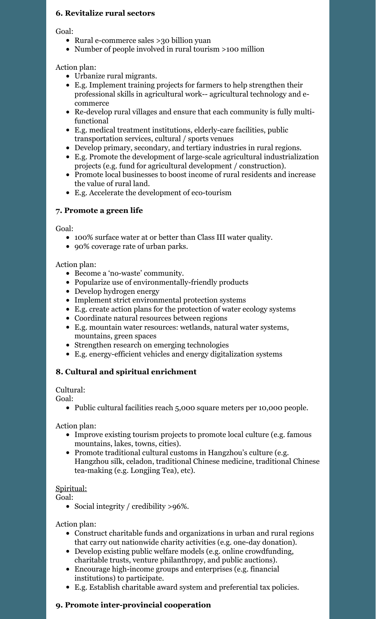### **6. Revitalize rural sectors**

Goal:

- Rural e-commerce sales >30 billion yuan
- Number of people involved in rural tourism >100 million

Action plan:

- Urbanize rural migrants.
- E.g. Implement training projects for farmers to help strengthen their professional skills in agricultural work-- agricultural technology and ecommerce
- Re-develop rural villages and ensure that each community is fully multifunctional
- E.g. medical treatment institutions, elderly-care facilities, public transportation services, cultural / sports venues
- Develop primary, secondary, and tertiary industries in rural regions.
- E.g. Promote the development of large-scale agricultural industrialization projects (e.g. fund for agricultural development / construction).
- Promote local businesses to boost income of rural residents and increase the value of rural land.
- E.g. Accelerate the development of eco-tourism

### **7. Promote a green life**

Goal:

- 100% surface water at or better than Class III water quality.
- 90% coverage rate of urban parks.

#### Action plan:

- Become a 'no-waste' community.
- Popularize use of environmentally-friendly products
- Develop hydrogen energy
- Implement strict environmental protection systems
- E.g. create action plans for the protection of water ecology systems
- Coordinate natural resources between regions
- E.g. mountain water resources: wetlands, natural water systems, mountains, green spaces
- Strengthen research on emerging technologies
- E.g. energy-efficient vehicles and energy digitalization systems

### **8. Cultural and spiritual enrichment**

Cultural:

Goal:

• Public cultural facilities reach 5,000 square meters per 10,000 people.

Action plan:

- Improve existing tourism projects to promote local culture (e.g. famous mountains, lakes, towns, cities).
- Promote traditional cultural customs in Hangzhou's culture (e.g. Hangzhou silk, celadon, traditional Chinese medicine, traditional Chinese tea-making (e.g. Longjing Tea), etc).

#### Spiritual:

Goal:

• Social integrity / credibility >96%.

Action plan:

- Construct charitable funds and organizations in urban and rural regions that carry out nationwide charity activities (e.g. one-day donation).
- Develop existing public welfare models (e.g. online crowdfunding, charitable trusts, venture philanthropy, and public auctions).
- Encourage high-income groups and enterprises (e.g. financial institutions) to participate.
- E.g. Establish charitable award system and preferential tax policies.

#### **9. Promote inter-provincial cooperation**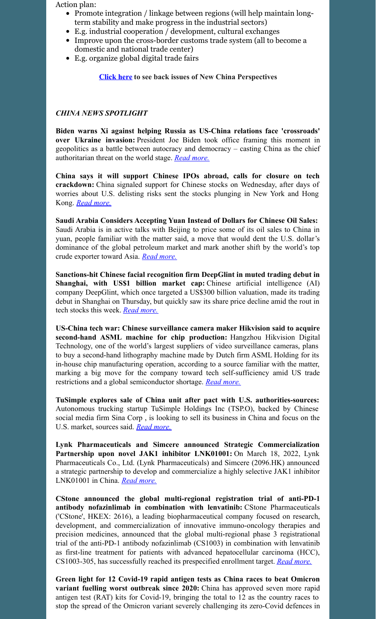Action plan:

- Promote integration / linkage between regions (will help maintain longterm stability and make progress in the industrial sectors)
- E.g. industrial cooperation / development, cultural exchanges
- Improve upon the cross-border customs trade system (all to become a domestic and national trade center)
- E.g. organize global digital trade fairs

**[Click](https://www.morgancreekcap.com/market-commentary/#investment-process) here to see back issues of New China Perspectives**

### *CHINA NEWS SPOTLIGHT*

**Biden warns Xi against helping Russia as US-China relations face 'crossroads' over Ukraine invasion:** President Joe Biden took office framing this moment in geopolitics as a battle between autocracy and democracy – casting China as the chief authoritarian threat on the world stage. *Read [more.](https://www.usatoday.com/story/news/politics/2022/03/18/biden-xi-jinping-ukraine/7050895001/?gnt-cfr=1)*

**China says it will support Chinese IPOs abroad, calls for closure on tech crackdown:** China signaled support for Chinese stocks on Wednesday, after days of worries about U.S. delisting risks sent the stocks plunging in New York and Hong Kong. *Read [more.](https://www.cnbc.com/2022/03/16/china-says-it-will-support-chinese-ipos-abroad-calls-for-closure-on-tech-crackdown.html)*

**Saudi Arabia Considers Accepting Yuan Instead of Dollars for Chinese Oil Sales:** Saudi Arabia is in active talks with Beijing to price some of its oil sales to China in yuan, people familiar with the matter said, a move that would dent the U.S. dollar's dominance of the global petroleum market and mark another shift by the world's top crude exporter toward Asia. *Read [more.](https://www.wsj.com/articles/saudi-arabia-considers-accepting-yuan-instead-of-dollars-for-chinese-oil-sales-11647351541)*

**Sanctions-hit Chinese facial recognition firm DeepGlint in muted trading debut in Shanghai, with US\$1 billion market cap:** Chinese artificial intelligence (AI) company DeepGlint, which once targeted a US\$300 billion valuation, made its trading debut in Shanghai on Thursday, but quickly saw its share price decline amid the rout in tech stocks this week. *Read [more.](https://www.scmp.com/tech/tech-trends/article/3171056/sanctions-hit-chinese-facial-recognition-firm-deepglint-muted)*

**US-China tech war: Chinese surveillance camera maker Hikvision said to acquire second-hand ASML machine for chip production:** Hangzhou Hikvision Digital Technology, one of the world's largest suppliers of video surveillance cameras, plans to buy a second-hand lithography machine made by Dutch firm ASML Holding for its in-house chip manufacturing operation, according to a source familiar with the matter, marking a big move for the company toward tech self-sufficiency amid US trade restrictions and a global semiconductor shortage. *Read [more.](https://www.scmp.com/tech/tech-war/article/3170691/us-china-tech-war-chinese-surveillance-camera-maker-hikvision-acquire)*

**TuSimple explores sale of China unit after pact with U.S. authorities-sources:** Autonomous trucking startup TuSimple Holdings Inc (TSP.O), backed by Chinese social media firm Sina Corp , is looking to sell its business in China and focus on the U.S. market, sources said. *Read [more.](https://www.reuters.com/technology/exclusive-tusimple-explores-sale-china-unit-after-pact-with-us-authorities-2022-03-16/)*

**Lynk Pharmaceuticals and Simcere announced Strategic Commercialization Partnership upon novel JAK1 inhibitor LNK01001:** On March 18, 2022, Lynk Pharmaceuticals Co., Ltd. (Lynk Pharmaceuticals) and Simcere (2096.HK) announced a strategic partnership to develop and commercialize a highly selective JAK1 inhibitor LNK01001 in China. *Read [more.](https://www.prnewswire.com/news-releases/lynk-pharmaceuticals-and-simcere-announced-strategic-commercialization-partnership-upon-novel-jak1-inhibitor-lnk01001-301505616.html)*

**CStone announced the global multi-regional registration trial of anti-PD-1 antibody nofazinlimab in combination with lenvatinib:** CStone Pharmaceuticals ('CStone', HKEX: 2616), a leading biopharmaceutical company focused on research, development, and commercialization of innovative immuno-oncology therapies and precision medicines, announced that the global multi-regional phase 3 registrational trial of the anti-PD-1 antibody nofazinlimab (CS1003) in combination with lenvatinib as first-line treatment for patients with advanced hepatocellular carcinoma (HCC), CS1003-305, has successfully reached its prespecified enrollment target. *Read [more.](https://www.marketscreener.com/quote/stock/CSTONE-PHARMACEUTICALS-57946082/news/CStone-announced-the-global-multi-regional-registration-trial-of-anti-PD-1-antibody-nofazinlimab-in-39805668/)*

**Green light for 12 Covid-19 rapid antigen tests as China races to beat Omicron variant fuelling worst outbreak since 2020:** China has approved seven more rapid antigen test (RAT) kits for Covid-19, bringing the total to 12 as the country races to stop the spread of the Omicron variant severely challenging its zero-Covid defences in